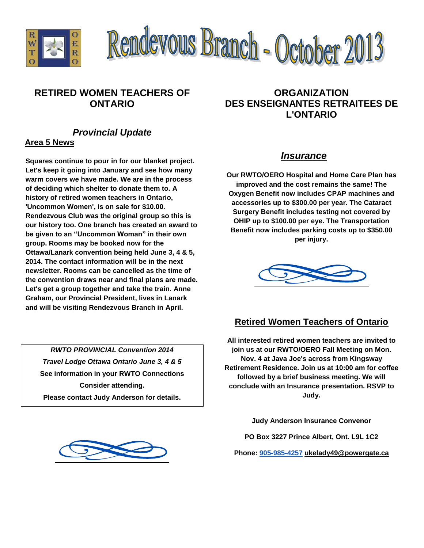



### **RETIRED WOMEN TEACHERS OF ONTARIO**

## *Provincial Update*

#### **Area 5 News**

**Squares continue to pour in for our blanket project. Let's keep it going into January and see how many warm covers we have made. We are in the process of deciding which shelter to donate them to. A history of retired women teachers in Ontario, 'Uncommon Women', is on sale for \$10.00. Rendezvous Club was the original group so this is our history too. One branch has created an award to be given to an "Uncommon Woman" in their own group. Rooms may be booked now for the Ottawa/Lanark convention being held June 3, 4 & 5, 2014. The contact information will be in the next newsletter. Rooms can be cancelled as the time of the convention draws near and final plans are made. Let's get a group together and take the train. Anne Graham, our Provincial President, lives in Lanark and will be visiting Rendezvous Branch in April.**

*RWTO PROVINCIAL Convention 2014 Travel Lodge Ottawa Ontario June 3, 4 & 5* **See information in your RWTO Connections Consider attending. Please contact Judy Anderson for details.**



### **ORGANIZATION DES ENSEIGNANTES RETRAITEES DE L'ONTARIO**

#### *Insurance*

**Our RWTO/OERO Hospital and Home Care Plan has improved and the cost remains the same! The Oxygen Benefit now includes CPAP machines and accessories up to \$300.00 per year. The Cataract Surgery Benefit includes testing not covered by OHIP up to \$100.00 per eye. The Transportation Benefit now includes parking costs up to \$350.00 per injury.**



#### **Retired Women Teachers of Ontario**

**All interested retired women teachers are invited to join us at our RWTO/OERO Fall Meeting on Mon. Nov. 4 at Java Joe's across from Kingsway Retirement Residence. Join us at 10:00 am for coffee followed by a brief business meeting. We will conclude with an Insurance presentation. RSVP to Judy.**

**Judy Anderson Insurance Convenor**

**PO Box 3227 Prince Albert, Ont. L9L 1C2**

**Phone: [905-985-4257](tel:905-985-4257) [ukelady49@powergate.ca](mailto:ukelady49@powergate.ca)**